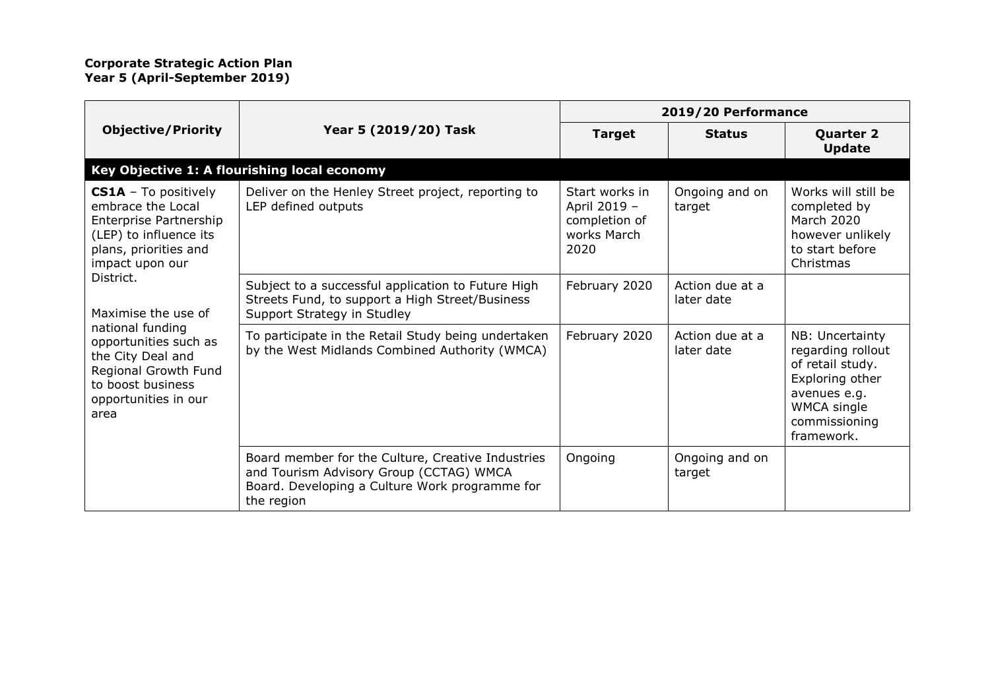|                                                                                                                                                                                                                                                                                                                                     | Year 5 (2019/20) Task                                                                                                                                        | 2019/20 Performance                                                    |                               |                                                                                                                                           |
|-------------------------------------------------------------------------------------------------------------------------------------------------------------------------------------------------------------------------------------------------------------------------------------------------------------------------------------|--------------------------------------------------------------------------------------------------------------------------------------------------------------|------------------------------------------------------------------------|-------------------------------|-------------------------------------------------------------------------------------------------------------------------------------------|
| <b>Objective/Priority</b>                                                                                                                                                                                                                                                                                                           |                                                                                                                                                              | <b>Target</b>                                                          | <b>Status</b>                 | <b>Quarter 2</b><br><b>Update</b>                                                                                                         |
|                                                                                                                                                                                                                                                                                                                                     | Key Objective 1: A flourishing local economy                                                                                                                 |                                                                        |                               |                                                                                                                                           |
| <b>CS1A</b> - To positively<br>embrace the Local<br>Enterprise Partnership<br>(LEP) to influence its<br>plans, priorities and<br>impact upon our<br>District.<br>Maximise the use of<br>national funding<br>opportunities such as<br>the City Deal and<br>Regional Growth Fund<br>to boost business<br>opportunities in our<br>area | Deliver on the Henley Street project, reporting to<br>LEP defined outputs                                                                                    | Start works in<br>April 2019 -<br>completion of<br>works March<br>2020 | Ongoing and on<br>target      | Works will still be<br>completed by<br><b>March 2020</b><br>however unlikely<br>to start before<br>Christmas                              |
|                                                                                                                                                                                                                                                                                                                                     | Subject to a successful application to Future High<br>Streets Fund, to support a High Street/Business<br>Support Strategy in Studley                         | February 2020                                                          | Action due at a<br>later date |                                                                                                                                           |
|                                                                                                                                                                                                                                                                                                                                     | To participate in the Retail Study being undertaken<br>by the West Midlands Combined Authority (WMCA)                                                        | February 2020                                                          | Action due at a<br>later date | NB: Uncertainty<br>regarding rollout<br>of retail study.<br>Exploring other<br>avenues e.g.<br>WMCA single<br>commissioning<br>framework. |
|                                                                                                                                                                                                                                                                                                                                     | Board member for the Culture, Creative Industries<br>and Tourism Advisory Group (CCTAG) WMCA<br>Board. Developing a Culture Work programme for<br>the region | Ongoing                                                                | Ongoing and on<br>target      |                                                                                                                                           |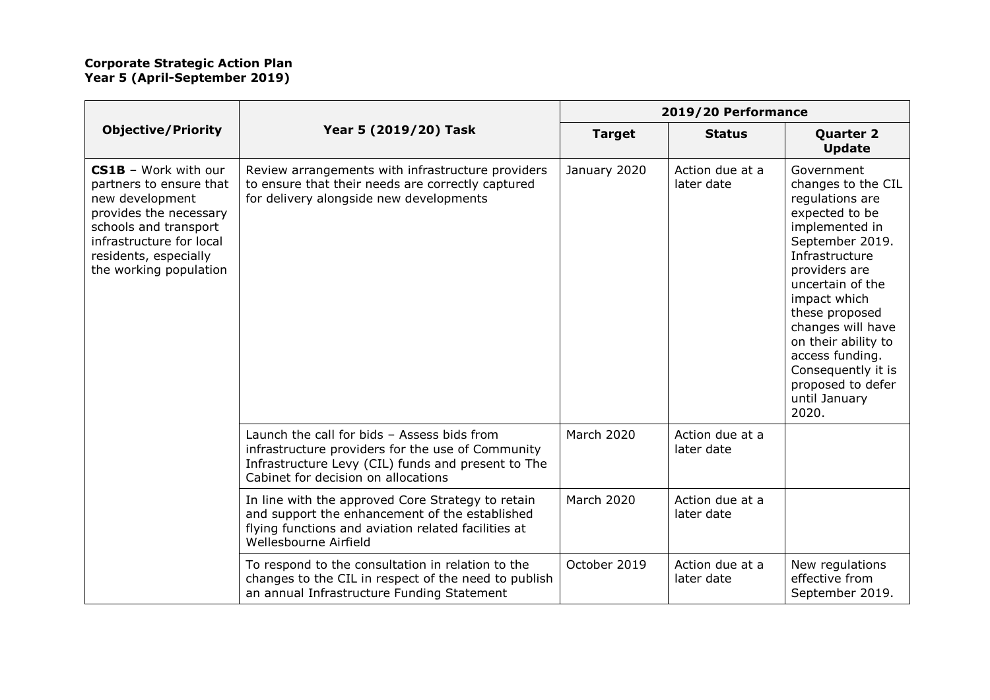|                                                                                                                                                                                                             |                                                                                                                                                                                               | 2019/20 Performance |                               |                                                                                                                                                                                                                                                                                                                                         |
|-------------------------------------------------------------------------------------------------------------------------------------------------------------------------------------------------------------|-----------------------------------------------------------------------------------------------------------------------------------------------------------------------------------------------|---------------------|-------------------------------|-----------------------------------------------------------------------------------------------------------------------------------------------------------------------------------------------------------------------------------------------------------------------------------------------------------------------------------------|
| <b>Objective/Priority</b>                                                                                                                                                                                   | Year 5 (2019/20) Task                                                                                                                                                                         | <b>Target</b>       | <b>Status</b>                 | <b>Quarter 2</b><br><b>Update</b>                                                                                                                                                                                                                                                                                                       |
| <b>CS1B</b> - Work with our<br>partners to ensure that<br>new development<br>provides the necessary<br>schools and transport<br>infrastructure for local<br>residents, especially<br>the working population | Review arrangements with infrastructure providers<br>to ensure that their needs are correctly captured<br>for delivery alongside new developments                                             | January 2020        | Action due at a<br>later date | Government<br>changes to the CIL<br>regulations are<br>expected to be<br>implemented in<br>September 2019.<br>Infrastructure<br>providers are<br>uncertain of the<br>impact which<br>these proposed<br>changes will have<br>on their ability to<br>access funding.<br>Consequently it is<br>proposed to defer<br>until January<br>2020. |
|                                                                                                                                                                                                             | Launch the call for bids - Assess bids from<br>infrastructure providers for the use of Community<br>Infrastructure Levy (CIL) funds and present to The<br>Cabinet for decision on allocations | <b>March 2020</b>   | Action due at a<br>later date |                                                                                                                                                                                                                                                                                                                                         |
|                                                                                                                                                                                                             | In line with the approved Core Strategy to retain<br>and support the enhancement of the established<br>flying functions and aviation related facilities at<br>Wellesbourne Airfield           | <b>March 2020</b>   | Action due at a<br>later date |                                                                                                                                                                                                                                                                                                                                         |
|                                                                                                                                                                                                             | To respond to the consultation in relation to the<br>changes to the CIL in respect of the need to publish<br>an annual Infrastructure Funding Statement                                       | October 2019        | Action due at a<br>later date | New regulations<br>effective from<br>September 2019.                                                                                                                                                                                                                                                                                    |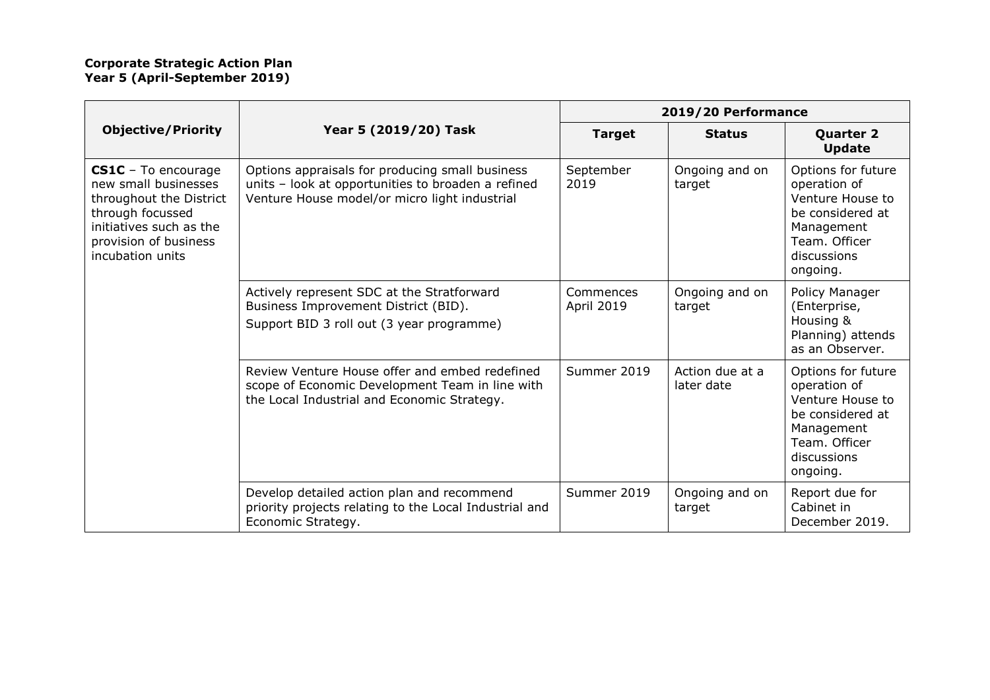|                                                                                                                                                                    |                                                                                                                                                        | 2019/20 Performance     |                               |                                                                                                                                      |
|--------------------------------------------------------------------------------------------------------------------------------------------------------------------|--------------------------------------------------------------------------------------------------------------------------------------------------------|-------------------------|-------------------------------|--------------------------------------------------------------------------------------------------------------------------------------|
| <b>Objective/Priority</b>                                                                                                                                          | Year 5 (2019/20) Task                                                                                                                                  | <b>Target</b>           | <b>Status</b>                 | <b>Quarter 2</b><br><b>Update</b>                                                                                                    |
| CS1C - To encourage<br>new small businesses<br>throughout the District<br>through focussed<br>initiatives such as the<br>provision of business<br>incubation units | Options appraisals for producing small business<br>units - look at opportunities to broaden a refined<br>Venture House model/or micro light industrial | September<br>2019       | Ongoing and on<br>target      | Options for future<br>operation of<br>Venture House to<br>be considered at<br>Management<br>Team. Officer<br>discussions<br>ongoing. |
|                                                                                                                                                                    | Actively represent SDC at the Stratforward<br>Business Improvement District (BID).<br>Support BID 3 roll out (3 year programme)                        | Commences<br>April 2019 | Ongoing and on<br>target      | Policy Manager<br>(Enterprise,<br>Housing &<br>Planning) attends<br>as an Observer.                                                  |
|                                                                                                                                                                    | Review Venture House offer and embed redefined<br>scope of Economic Development Team in line with<br>the Local Industrial and Economic Strategy.       | Summer 2019             | Action due at a<br>later date | Options for future<br>operation of<br>Venture House to<br>be considered at<br>Management<br>Team. Officer<br>discussions<br>ongoing. |
|                                                                                                                                                                    | Develop detailed action plan and recommend<br>priority projects relating to the Local Industrial and<br>Economic Strategy.                             | Summer 2019             | Ongoing and on<br>target      | Report due for<br>Cabinet in<br>December 2019.                                                                                       |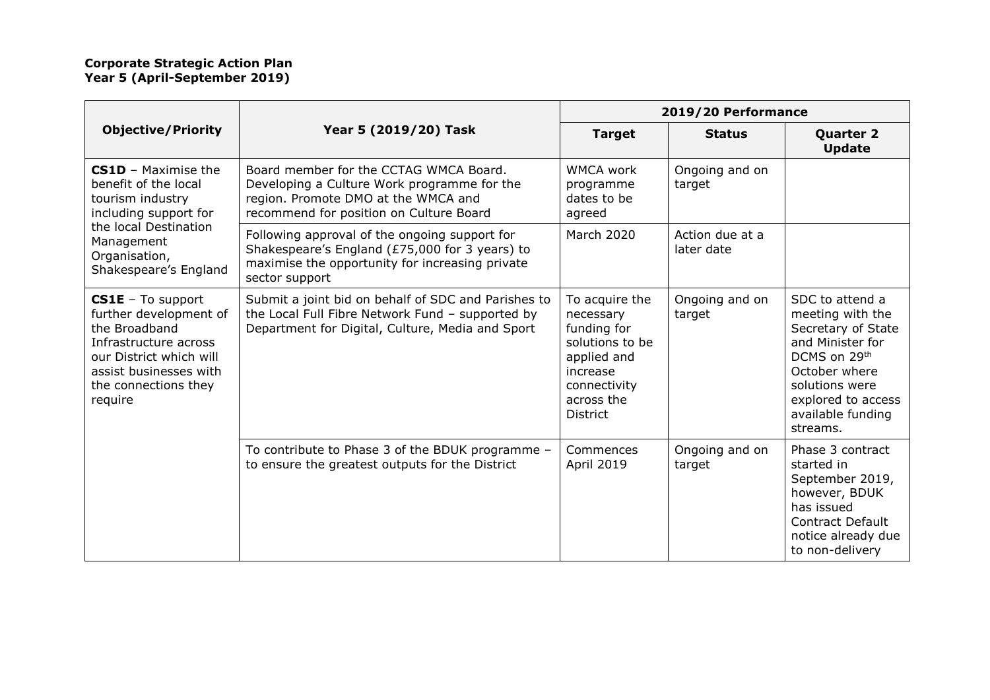|                                                                                                                                                                                  |                                                                                                                                                                         | 2019/20 Performance                                                                                                                       |                               |                                                                                                                                                                                         |
|----------------------------------------------------------------------------------------------------------------------------------------------------------------------------------|-------------------------------------------------------------------------------------------------------------------------------------------------------------------------|-------------------------------------------------------------------------------------------------------------------------------------------|-------------------------------|-----------------------------------------------------------------------------------------------------------------------------------------------------------------------------------------|
| <b>Objective/Priority</b>                                                                                                                                                        | Year 5 (2019/20) Task                                                                                                                                                   | <b>Target</b>                                                                                                                             | <b>Status</b>                 | <b>Quarter 2</b><br><b>Update</b>                                                                                                                                                       |
| <b>CS1D</b> - Maximise the<br>benefit of the local<br>tourism industry<br>including support for<br>the local Destination<br>Management<br>Organisation,<br>Shakespeare's England | Board member for the CCTAG WMCA Board.<br>Developing a Culture Work programme for the<br>region. Promote DMO at the WMCA and<br>recommend for position on Culture Board | <b>WMCA work</b><br>programme<br>dates to be<br>agreed                                                                                    | Ongoing and on<br>target      |                                                                                                                                                                                         |
|                                                                                                                                                                                  | Following approval of the ongoing support for<br>Shakespeare's England (£75,000 for 3 years) to<br>maximise the opportunity for increasing private<br>sector support    | <b>March 2020</b>                                                                                                                         | Action due at a<br>later date |                                                                                                                                                                                         |
| $CS1E$ – To support<br>further development of<br>the Broadband<br>Infrastructure across<br>our District which will<br>assist businesses with<br>the connections they<br>require  | Submit a joint bid on behalf of SDC and Parishes to<br>the Local Full Fibre Network Fund - supported by<br>Department for Digital, Culture, Media and Sport             | To acquire the<br>necessary<br>funding for<br>solutions to be<br>applied and<br>increase<br>connectivity<br>across the<br><b>District</b> | Ongoing and on<br>target      | SDC to attend a<br>meeting with the<br>Secretary of State<br>and Minister for<br>DCMS on 29th<br>October where<br>solutions were<br>explored to access<br>available funding<br>streams. |
|                                                                                                                                                                                  | To contribute to Phase 3 of the BDUK programme -<br>to ensure the greatest outputs for the District                                                                     | Commences<br>April 2019                                                                                                                   | Ongoing and on<br>target      | Phase 3 contract<br>started in<br>September 2019,<br>however, BDUK<br>has issued<br><b>Contract Default</b><br>notice already due<br>to non-delivery                                    |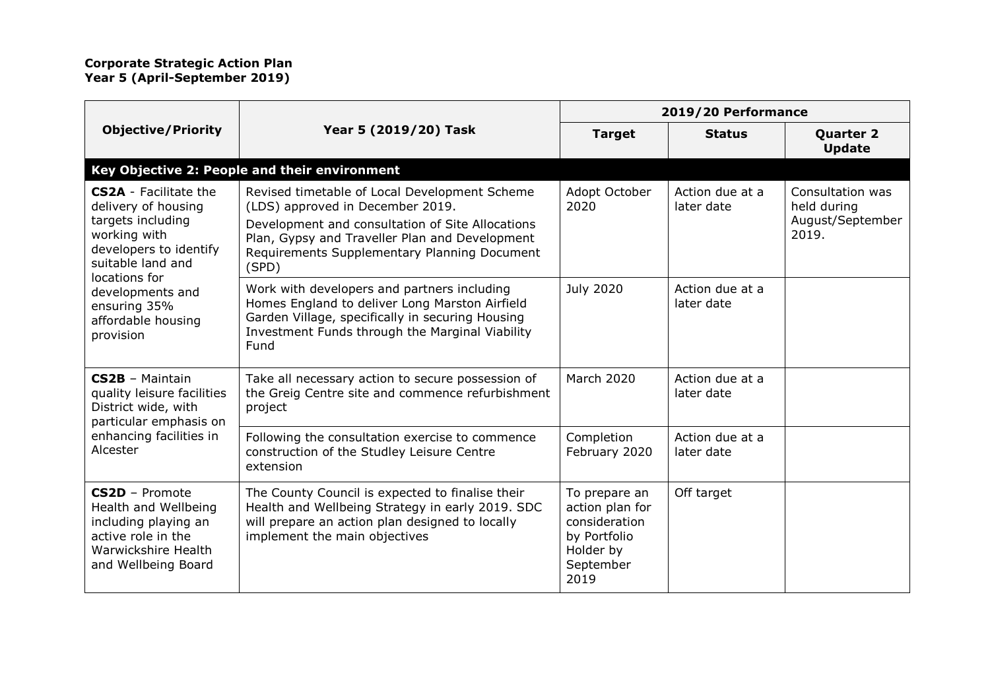|                                                                                                                                                                                                                                 | Year 5 (2019/20) Task                                                                                                                                                                                                                            | 2019/20 Performance                                                                                 |                               |                                                              |
|---------------------------------------------------------------------------------------------------------------------------------------------------------------------------------------------------------------------------------|--------------------------------------------------------------------------------------------------------------------------------------------------------------------------------------------------------------------------------------------------|-----------------------------------------------------------------------------------------------------|-------------------------------|--------------------------------------------------------------|
| <b>Objective/Priority</b>                                                                                                                                                                                                       |                                                                                                                                                                                                                                                  | <b>Target</b>                                                                                       | <b>Status</b>                 | <b>Quarter 2</b><br><b>Update</b>                            |
|                                                                                                                                                                                                                                 | Key Objective 2: People and their environment                                                                                                                                                                                                    |                                                                                                     |                               |                                                              |
| <b>CS2A</b> - Facilitate the<br>delivery of housing<br>targets including<br>working with<br>developers to identify<br>suitable land and<br>locations for<br>developments and<br>ensuring 35%<br>affordable housing<br>provision | Revised timetable of Local Development Scheme<br>(LDS) approved in December 2019.<br>Development and consultation of Site Allocations<br>Plan, Gypsy and Traveller Plan and Development<br>Requirements Supplementary Planning Document<br>(SPD) | Adopt October<br>2020                                                                               | Action due at a<br>later date | Consultation was<br>held during<br>August/September<br>2019. |
|                                                                                                                                                                                                                                 | Work with developers and partners including<br>Homes England to deliver Long Marston Airfield<br>Garden Village, specifically in securing Housing<br>Investment Funds through the Marginal Viability<br>Fund                                     | <b>July 2020</b>                                                                                    | Action due at a<br>later date |                                                              |
| CS2B - Maintain<br>quality leisure facilities<br>District wide, with<br>particular emphasis on<br>enhancing facilities in<br>Alcester                                                                                           | Take all necessary action to secure possession of<br>the Greig Centre site and commence refurbishment<br>project                                                                                                                                 | <b>March 2020</b>                                                                                   | Action due at a<br>later date |                                                              |
|                                                                                                                                                                                                                                 | Following the consultation exercise to commence<br>construction of the Studley Leisure Centre<br>extension                                                                                                                                       | Completion<br>February 2020                                                                         | Action due at a<br>later date |                                                              |
| CS2D - Promote<br>Health and Wellbeing<br>including playing an<br>active role in the<br>Warwickshire Health<br>and Wellbeing Board                                                                                              | The County Council is expected to finalise their<br>Health and Wellbeing Strategy in early 2019. SDC<br>will prepare an action plan designed to locally<br>implement the main objectives                                                         | To prepare an<br>action plan for<br>consideration<br>by Portfolio<br>Holder by<br>September<br>2019 | Off target                    |                                                              |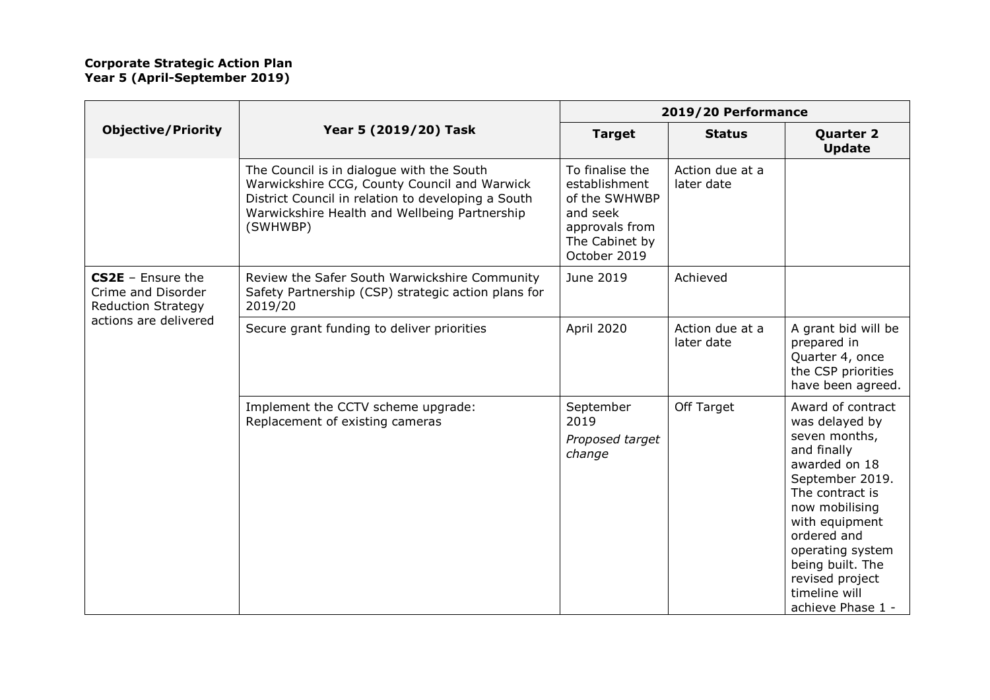|                                                                                                 | Year 5 (2019/20) Task                                                                                                                                                                                        | 2019/20 Performance                                                                                               |                               |                                                                                                                                                                                                                                                                                |
|-------------------------------------------------------------------------------------------------|--------------------------------------------------------------------------------------------------------------------------------------------------------------------------------------------------------------|-------------------------------------------------------------------------------------------------------------------|-------------------------------|--------------------------------------------------------------------------------------------------------------------------------------------------------------------------------------------------------------------------------------------------------------------------------|
| <b>Objective/Priority</b>                                                                       |                                                                                                                                                                                                              | <b>Target</b>                                                                                                     | <b>Status</b>                 | <b>Quarter 2</b><br><b>Update</b>                                                                                                                                                                                                                                              |
|                                                                                                 | The Council is in dialogue with the South<br>Warwickshire CCG, County Council and Warwick<br>District Council in relation to developing a South<br>Warwickshire Health and Wellbeing Partnership<br>(SWHWBP) | To finalise the<br>establishment<br>of the SWHWBP<br>and seek<br>approvals from<br>The Cabinet by<br>October 2019 | Action due at a<br>later date |                                                                                                                                                                                                                                                                                |
| $CS2E$ - Ensure the<br>Crime and Disorder<br><b>Reduction Strategy</b><br>actions are delivered | Review the Safer South Warwickshire Community<br>Safety Partnership (CSP) strategic action plans for<br>2019/20                                                                                              | June 2019                                                                                                         | Achieved                      |                                                                                                                                                                                                                                                                                |
|                                                                                                 | Secure grant funding to deliver priorities                                                                                                                                                                   | April 2020                                                                                                        | Action due at a<br>later date | A grant bid will be<br>prepared in<br>Quarter 4, once<br>the CSP priorities<br>have been agreed.                                                                                                                                                                               |
|                                                                                                 | Implement the CCTV scheme upgrade:<br>Replacement of existing cameras                                                                                                                                        | September<br>2019<br>Proposed target<br>change                                                                    | Off Target                    | Award of contract<br>was delayed by<br>seven months,<br>and finally<br>awarded on 18<br>September 2019.<br>The contract is<br>now mobilising<br>with equipment<br>ordered and<br>operating system<br>being built. The<br>revised project<br>timeline will<br>achieve Phase 1 - |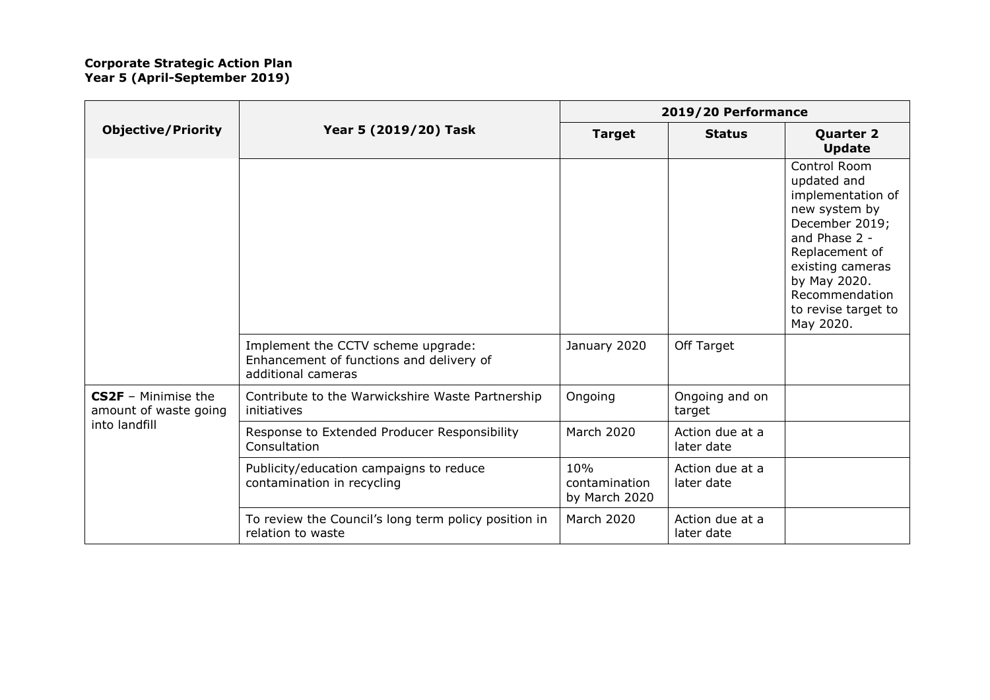|                                              |                                                                                                      | 2019/20 Performance                   |                               |                                                                                                                                                                                                                  |
|----------------------------------------------|------------------------------------------------------------------------------------------------------|---------------------------------------|-------------------------------|------------------------------------------------------------------------------------------------------------------------------------------------------------------------------------------------------------------|
| <b>Objective/Priority</b>                    | Year 5 (2019/20) Task                                                                                | <b>Target</b>                         | <b>Status</b>                 | <b>Quarter 2</b><br><b>Update</b>                                                                                                                                                                                |
|                                              |                                                                                                      |                                       |                               | Control Room<br>updated and<br>implementation of<br>new system by<br>December 2019;<br>and Phase 2 -<br>Replacement of<br>existing cameras<br>by May 2020.<br>Recommendation<br>to revise target to<br>May 2020. |
|                                              | Implement the CCTV scheme upgrade:<br>Enhancement of functions and delivery of<br>additional cameras | January 2020                          | Off Target                    |                                                                                                                                                                                                                  |
| CS2F - Minimise the<br>amount of waste going | Contribute to the Warwickshire Waste Partnership<br>initiatives                                      | Ongoing                               | Ongoing and on<br>target      |                                                                                                                                                                                                                  |
| into landfill                                | Response to Extended Producer Responsibility<br>Consultation                                         | <b>March 2020</b>                     | Action due at a<br>later date |                                                                                                                                                                                                                  |
|                                              | Publicity/education campaigns to reduce<br>contamination in recycling                                | 10%<br>contamination<br>by March 2020 | Action due at a<br>later date |                                                                                                                                                                                                                  |
|                                              | To review the Council's long term policy position in<br>relation to waste                            | <b>March 2020</b>                     | Action due at a<br>later date |                                                                                                                                                                                                                  |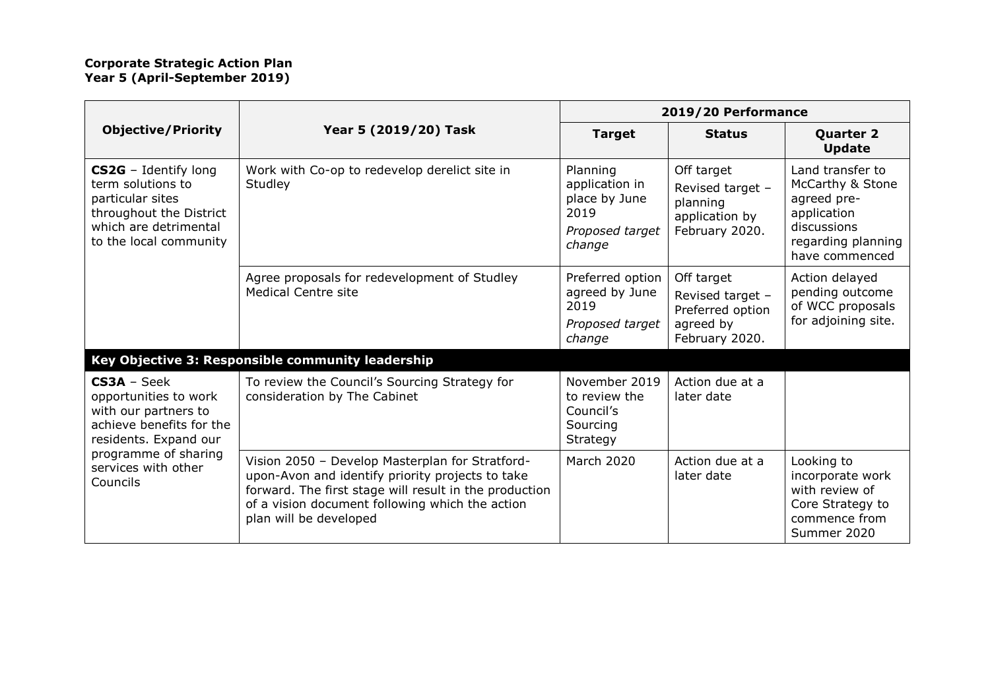|                                                                                                                                                                                |                                                                                                                                                                                                                                            | 2019/20 Performance                                                              |                                                                                   |                                                                                                                           |
|--------------------------------------------------------------------------------------------------------------------------------------------------------------------------------|--------------------------------------------------------------------------------------------------------------------------------------------------------------------------------------------------------------------------------------------|----------------------------------------------------------------------------------|-----------------------------------------------------------------------------------|---------------------------------------------------------------------------------------------------------------------------|
| <b>Objective/Priority</b>                                                                                                                                                      | Year 5 (2019/20) Task                                                                                                                                                                                                                      | <b>Target</b>                                                                    | <b>Status</b>                                                                     | <b>Quarter 2</b><br><b>Update</b>                                                                                         |
| CS2G - Identify long<br>term solutions to<br>particular sites<br>throughout the District<br>which are detrimental<br>to the local community                                    | Work with Co-op to redevelop derelict site in<br>Studley                                                                                                                                                                                   | Planning<br>application in<br>place by June<br>2019<br>Proposed target<br>change | Off target<br>Revised target -<br>planning<br>application by<br>February 2020.    | Land transfer to<br>McCarthy & Stone<br>agreed pre-<br>application<br>discussions<br>regarding planning<br>have commenced |
|                                                                                                                                                                                | Agree proposals for redevelopment of Studley<br><b>Medical Centre site</b>                                                                                                                                                                 | Preferred option<br>agreed by June<br>2019<br>Proposed target<br>change          | Off target<br>Revised target -<br>Preferred option<br>agreed by<br>February 2020. | Action delayed<br>pending outcome<br>of WCC proposals<br>for adjoining site.                                              |
|                                                                                                                                                                                | Key Objective 3: Responsible community leadership                                                                                                                                                                                          |                                                                                  |                                                                                   |                                                                                                                           |
| $CS3A - Seek$<br>opportunities to work<br>with our partners to<br>achieve benefits for the<br>residents. Expand our<br>programme of sharing<br>services with other<br>Councils | To review the Council's Sourcing Strategy for<br>consideration by The Cabinet                                                                                                                                                              | November 2019<br>to review the<br>Council's<br>Sourcing<br>Strategy              | Action due at a<br>later date                                                     |                                                                                                                           |
|                                                                                                                                                                                | Vision 2050 - Develop Masterplan for Stratford-<br>upon-Avon and identify priority projects to take<br>forward. The first stage will result in the production<br>of a vision document following which the action<br>plan will be developed | <b>March 2020</b>                                                                | Action due at a<br>later date                                                     | Looking to<br>incorporate work<br>with review of<br>Core Strategy to<br>commence from<br>Summer 2020                      |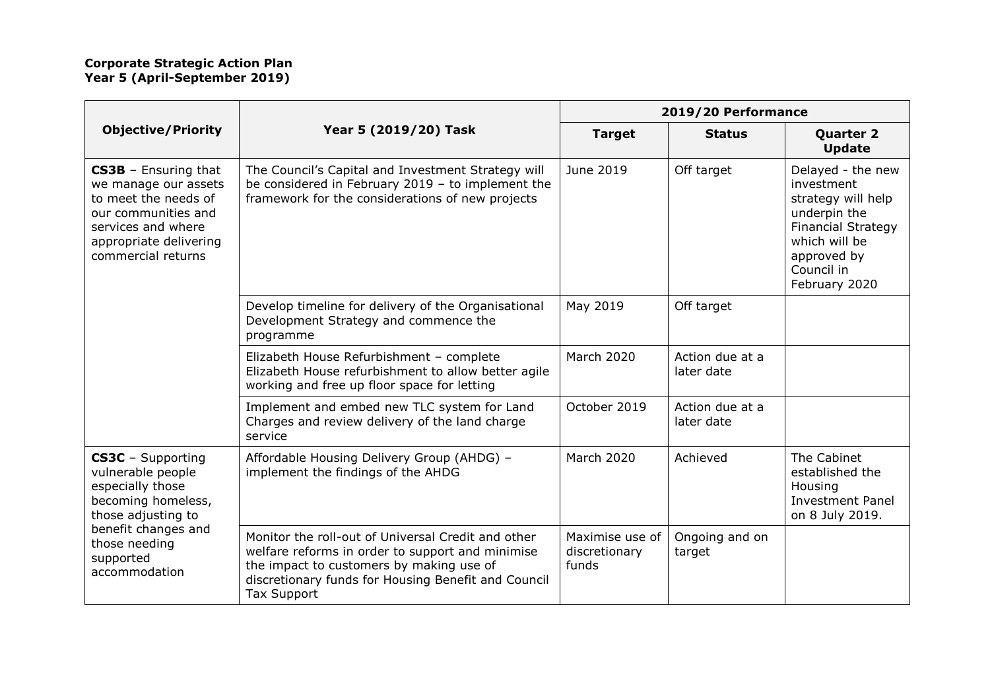|                                                                                                                                                                              |                                                                                                                                                                                                                                 | 2019/20 Performance                       |                               |                                                                                                                                                                   |
|------------------------------------------------------------------------------------------------------------------------------------------------------------------------------|---------------------------------------------------------------------------------------------------------------------------------------------------------------------------------------------------------------------------------|-------------------------------------------|-------------------------------|-------------------------------------------------------------------------------------------------------------------------------------------------------------------|
| <b>Objective/Priority</b>                                                                                                                                                    | Year 5 (2019/20) Task                                                                                                                                                                                                           | <b>Target</b>                             | <b>Status</b>                 | <b>Quarter 2</b><br><b>Update</b>                                                                                                                                 |
| <b>CS3B</b> - Ensuring that<br>we manage our assets<br>to meet the needs of<br>our communities and<br>services and where<br>appropriate delivering<br>commercial returns     | The Council's Capital and Investment Strategy will<br>be considered in February 2019 - to implement the<br>framework for the considerations of new projects                                                                     | June 2019                                 | Off target                    | Delayed - the new<br>investment<br>strategy will help<br>underpin the<br><b>Financial Strategy</b><br>which will be<br>approved by<br>Council in<br>February 2020 |
|                                                                                                                                                                              | Develop timeline for delivery of the Organisational<br>Development Strategy and commence the<br>programme                                                                                                                       | May 2019                                  | Off target                    |                                                                                                                                                                   |
|                                                                                                                                                                              | Elizabeth House Refurbishment - complete<br>Elizabeth House refurbishment to allow better agile<br>working and free up floor space for letting                                                                                  | <b>March 2020</b>                         | Action due at a<br>later date |                                                                                                                                                                   |
|                                                                                                                                                                              | Implement and embed new TLC system for Land<br>Charges and review delivery of the land charge<br>service                                                                                                                        | October 2019                              | Action due at a<br>later date |                                                                                                                                                                   |
| CS3C - Supporting<br>vulnerable people<br>especially those<br>becoming homeless,<br>those adjusting to<br>benefit changes and<br>those needing<br>supported<br>accommodation | Affordable Housing Delivery Group (AHDG) -<br>implement the findings of the AHDG                                                                                                                                                | <b>March 2020</b>                         | Achieved                      | The Cabinet<br>established the<br>Housing<br><b>Investment Panel</b><br>on 8 July 2019.                                                                           |
|                                                                                                                                                                              | Monitor the roll-out of Universal Credit and other<br>welfare reforms in order to support and minimise<br>the impact to customers by making use of<br>discretionary funds for Housing Benefit and Council<br><b>Tax Support</b> | Maximise use of<br>discretionary<br>funds | Ongoing and on<br>target      |                                                                                                                                                                   |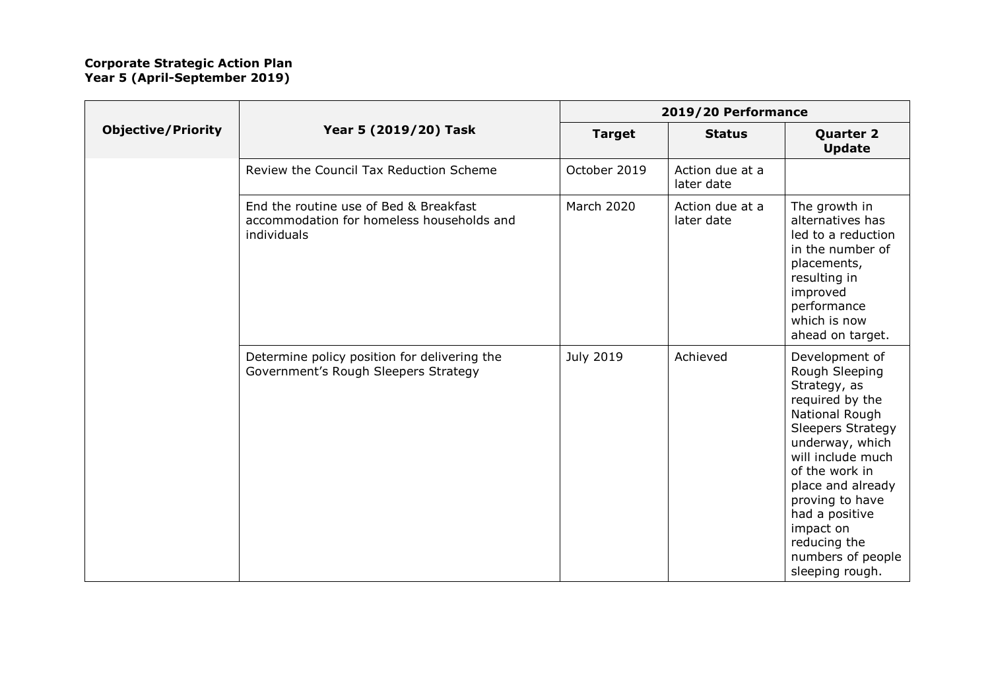|                           |                                                                                                    | 2019/20 Performance |                               |                                                                                                                                                                                                                                                                                                            |
|---------------------------|----------------------------------------------------------------------------------------------------|---------------------|-------------------------------|------------------------------------------------------------------------------------------------------------------------------------------------------------------------------------------------------------------------------------------------------------------------------------------------------------|
| <b>Objective/Priority</b> | Year 5 (2019/20) Task                                                                              | <b>Target</b>       | <b>Status</b>                 | <b>Quarter 2</b><br><b>Update</b>                                                                                                                                                                                                                                                                          |
|                           | Review the Council Tax Reduction Scheme                                                            | October 2019        | Action due at a<br>later date |                                                                                                                                                                                                                                                                                                            |
|                           | End the routine use of Bed & Breakfast<br>accommodation for homeless households and<br>individuals | <b>March 2020</b>   | Action due at a<br>later date | The growth in<br>alternatives has<br>led to a reduction<br>in the number of<br>placements,<br>resulting in<br>improved<br>performance<br>which is now<br>ahead on target.                                                                                                                                  |
|                           | Determine policy position for delivering the<br>Government's Rough Sleepers Strategy               | <b>July 2019</b>    | Achieved                      | Development of<br>Rough Sleeping<br>Strategy, as<br>required by the<br>National Rough<br><b>Sleepers Strategy</b><br>underway, which<br>will include much<br>of the work in<br>place and already<br>proving to have<br>had a positive<br>impact on<br>reducing the<br>numbers of people<br>sleeping rough. |